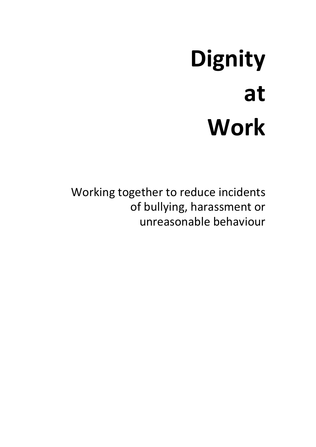# **Dignity at Work**

Working together to reduce incidents of bullying, harassment or unreasonable behaviour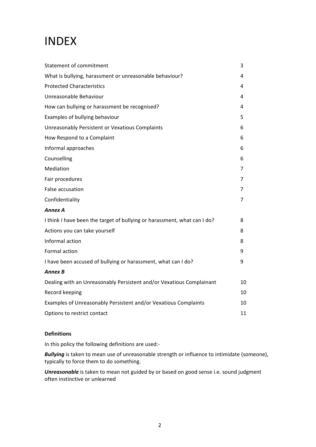## INDEX

| Statement of commitment                                                  | 3  |
|--------------------------------------------------------------------------|----|
| What is bullying, harassment or unreasonable behaviour?                  | 4  |
| <b>Protected Characteristics</b>                                         | 4  |
| Unreasonable Behaviour                                                   | 4  |
| How can bullying or harassment be recognised?                            | 4  |
| Examples of bullying behaviour                                           | 5  |
| Unreasonably Persistent or Vexatious Complaints                          | 6  |
| How Respond to a Complaint                                               | 6  |
| Informal approaches                                                      | 6  |
| Counselling                                                              | 6  |
| Mediation                                                                | 7  |
| Fair procedures                                                          | 7  |
| False accusation                                                         | 7  |
| Confidentiality                                                          | 7  |
| <b>Annex A</b>                                                           |    |
| I think I have been the target of bullying or harassment, what can I do? | 8  |
| Actions you can take yourself                                            | 8  |
| Informal action                                                          | 8  |
| Formal action                                                            | 9  |
| I have been accused of bullying or harassment, what can I do?            | 9  |
| <b>Annex B</b>                                                           |    |
| Dealing with an Unreasonably Persistent and/or Vexatious Complainant     | 10 |
| Record keeping                                                           | 10 |
| Examples of Unreasonably Persistent and/or Vexatious Complaints          | 10 |
| Options to restrict contact                                              | 11 |

#### **Definitions**

In this policy the following definitions are used:-

*Bullying* is taken to mean [use](http://www.oxforddictionaries.com/definition/english/use#use__2) of [unreasonable](http://www.oxforddictionaries.com/definition/english/superior#superior__2) strength or influence to [intimidate](http://www.oxforddictionaries.com/definition/english/intimidate#intimidate__2) (someone), typically to force them to do something.

*Unreasonable* is taken to mean not guided by or based on good sense i.e. sound judgment often instinctive or unlearned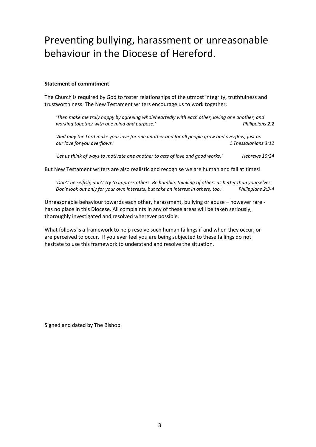## Preventing bullying, harassment or unreasonable behaviour in the Diocese of Hereford.

#### **Statement of commitment**

The Church is required by God to foster relationships of the utmost integrity, truthfulness and trustworthiness. The New Testament writers encourage us to work together.

*'Then make me truly happy by agreeing wholeheartedly with each other, loving one another, and working together with one mind and purpose.' Philippians 2:2*

'And may the Lord make your love for one another and for all people grow and overflow, just as<br>2:12 aur love for you overflows.'  $our$  *love* for you overflows.'

*'Let us think of ways to motivate one another to acts of love and good works.' Hebrews 10:24*

But New Testament writers are also realistic and recognise we are human and fail at times!

*'Don't be selfish; don't try to impress others. Be humble, thinking of others as better than yourselves. Don't look out only for your own interests, but take an interest in others, too.' Philippians 2:3-4*

Unreasonable behaviour towards each other, harassment, bullying or abuse – however rare has no place in this Diocese. All complaints in any of these areas will be taken seriously, thoroughly investigated and resolved wherever possible.

What follows is a framework to help resolve such human failings if and when they occur, or are perceived to occur. If you ever feel you are being subjected to these failings do not hesitate to use this framework to understand and resolve the situation.

Signed and dated by The Bishop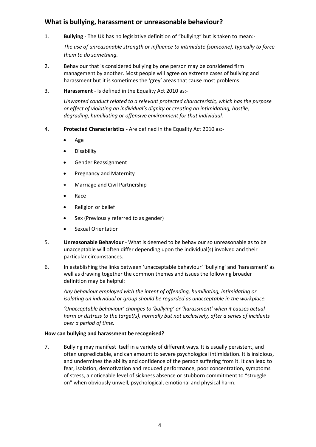### **What is bullying, harassment or unreasonable behaviour?**

1. **Bullying** - The UK has no legislative definition of "bullying" but is taken to mean:-

*The [use](http://www.oxforddictionaries.com/definition/english/use#use__2) of [unreasonable](http://www.oxforddictionaries.com/definition/english/superior#superior__2) strength or influence to [intimidate](http://www.oxforddictionaries.com/definition/english/intimidate#intimidate__2) (someone), typically to force them to do something.*

- 2. Behaviour that is considered bullying by one person may be considered firm management by another. Most people will agree on extreme cases of bullying and harassment but it is sometimes the 'grey' areas that cause most problems.
- 3. **Harassment** Is defined in the Equality Act 2010 as:-

*Unwanted conduct related to a relevant protected characteristic, which has the purpose or effect of violating an individual's dignity or creating an intimidating, hostile, degrading, humiliating or offensive environment for that individual.*

- 4. **Protected Characteristics** Are defined in the Equality Act 2010 as:-
	- Age
	- **•** Disability
	- **•** Gender Reassignment
	- Pregnancy and Maternity
	- Marriage and Civil Partnership
	- Race
	- Religion or belief
	- Sex (Previously referred to as gender)
	- **•** Sexual Orientation
- 5. **Unreasonable Behaviour** What is deemed to be behaviour so unreasonable as to be unacceptable will often differ depending upon the individual(s) involved and their particular circumstances.
- 6. In establishing the links between 'unacceptable behaviour' 'bullying' and 'harassment' as well as drawing together the common themes and issues the following broader definition may be helpful:

*Any behaviour employed with the intent of offending, humiliating, intimidating or isolating an individual or group should be regarded as unacceptable in the workplace.*

*'Unacceptable behaviour' changes to 'bullying' or 'harassment' when it causes actual harm or distress to the target(s), normally but not exclusively, after a series of incidents over a period of time.*

#### **How can bullying and harassment be recognised?**

7. Bullying may manifest itself in a variety of different ways. It is usually persistent, and often unpredictable, and can amount to severe psychological intimidation. It is insidious, and undermines the ability and confidence of the person suffering from it. It can lead to fear, isolation, demotivation and reduced performance, poor concentration, symptoms of stress, a noticeable level of sickness absence or stubborn commitment to "struggle on" when obviously unwell, psychological, emotional and physical harm.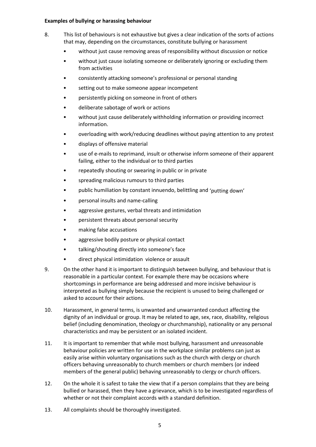#### **Examples of bullying or harassing behaviour**

- 8. This list of behaviours is not exhaustive but gives a clear indication of the sorts of actions that may, depending on the circumstances, constitute bullying or harassment
	- without just cause removing areas of responsibility without discussion or notice
	- without just cause isolating someone or deliberately ignoring or excluding them from activities
	- consistently attacking someone's professional or personal standing
	- setting out to make someone appear incompetent
	- persistently picking on someone in front of others
	- deliberate sabotage of work or actions
	- without just cause deliberately withholding information or providing incorrect information.
	- overloading with work/reducing deadlines without paying attention to any protest
	- displays of offensive material
	- use of e-mails to reprimand, insult or otherwise inform someone of their apparent failing, either to the individual or to third parties
	- repeatedly shouting or swearing in public or in private
	- spreading malicious rumours to third parties
	- public humiliation by constant innuendo, belittling and 'putting down'
	- personal insults and name-calling
	- aggressive gestures, verbal threats and intimidation
	- persistent threats about personal security
	- making false accusations
	- aggressive bodily posture or physical contact
	- talking/shouting directly into someone's face
	- direct physical intimidation violence or assault
- 9. On the other hand it is important to distinguish between bullying, and behaviour that is reasonable in a particular context. For example there may be occasions where shortcomings in performance are being addressed and more incisive behaviour is interpreted as bullying simply because the recipient is unused to being challenged or asked to account for their actions.
- 10. Harassment, in general terms, is unwanted and unwarranted conduct affecting the dignity of an individual or group. It may be related to age, sex, race, disability, religious belief (including denomination, theology or churchmanship), nationality or any personal characteristics and may be persistent or an isolated incident.
- 11. It is important to remember that while most bullying, harassment and unreasonable behaviour policies are written for use in the workplace similar problems can just as easily arise within voluntary organisations such as the church with clergy or church officers behaving unreasonably to church members or church members (or indeed members of the general public) behaving unreasonably to clergy or church officers.
- 12. On the whole it is safest to take the view that if a person complains that they are being bullied or harassed, then they have a grievance, which is to be investigated regardless of whether or not their complaint accords with a standard definition.
- 13. All complaints should be thoroughly investigated.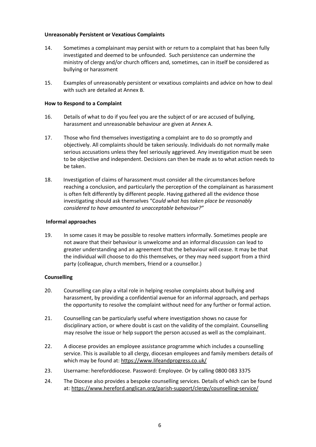#### **Unreasonably Persistent or Vexatious Complaints**

- 14. Sometimes a complainant may persist with or return to a complaint that has been fully investigated and deemed to be unfounded. Such persistence can undermine the ministry of clergy and/or church officers and, sometimes, can in itself be considered as bullying or harassment
- 15. Examples of unreasonably persistent or vexatious complaints and advice on how to deal with such are detailed at Annex B.

#### **How to Respond to a Complaint**

- 16. Details of what to do if you feel you are the subject of or are accused of bullying, harassment and unreasonable behaviour are given at Annex A.
- 17. Those who find themselves investigating a complaint are to do so promptly and objectively. All complaints should be taken seriously. Individuals do not normally make serious accusations unless they feel seriously aggrieved. Any investigation must be seen to be objective and independent. Decisions can then be made as to what action needs to be taken.
- 18. Investigation of claims of harassment must consider all the circumstances before reaching a conclusion, and particularly the perception of the complainant as harassment is often felt differently by different people. Having gathered all the evidence those investigating should ask themselves "C*ould what has taken place be reasonably considered to have amounted to unacceptable behaviour?"*

#### **Informal approaches**

19. In some cases it may be possible to resolve matters informally. Sometimes people are not aware that their behaviour is unwelcome and an informal discussion can lead to greater understanding and an agreement that the behaviour will cease. It may be that the individual will choose to do this themselves, or they may need support from a third party (colleague, church members, friend or a counsellor.)

#### **Counselling**

- 20. Counselling can play a vital role in helping resolve complaints about bullying and harassment, by providing a confidential avenue for an informal approach, and perhaps the opportunity to resolve the complaint without need for any further or formal action.
- 21. Counselling can be particularly useful where investigation shows no cause for disciplinary action, or where doubt is cast on the validity of the complaint. Counselling may resolve the issue or help support the person accused as well as the complainant.
- 22. A diocese provides an employee assistance programme which includes a counselling service. This is available to all clergy, diocesan employees and family members details of which may be found at: <https://www.lifeandprogress.co.uk/>
- 23. Username: hereforddiocese. Password: Employee. Or by calling 0800 083 3375
- 24. The Diocese also provides a bespoke counselling services. Details of which can be found at: <https://www.hereford.anglican.org/parish-support/clergy/counselling-service/>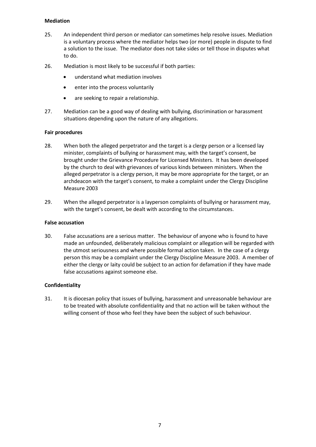#### **Mediation**

- 25. An independent third person or mediator can sometimes help resolve issues. Mediation is a voluntary process where the mediator helps two (or more) people in dispute to find a solution to the issue. The mediator does not take sides or tell those in disputes what to do.
- 26. Mediation is most likely to be successful if both parties:
	- understand what mediation involves
	- enter into the process voluntarily
	- are seeking to repair a relationship.
- 27. Mediation can be a good way of dealing with bullying, discrimination or harassment situations depending upon the nature of any allegations.

#### **Fair procedures**

- 28. When both the alleged perpetrator and the target is a clergy person or a licensed lay minister, complaints of bullying or harassment may, with the target's consent, be brought under the Grievance Procedure for Licensed Ministers. It has been developed by the church to deal with grievances of various kinds between ministers. When the alleged perpetrator is a clergy person, it may be more appropriate for the target, or an archdeacon with the target's consent, to make a complaint under the Clergy Discipline Measure 2003
- 29. When the alleged perpetrator is a layperson complaints of bullying or harassment may, with the target's consent, be dealt with according to the circumstances.

#### **False accusation**

30. False accusations are a serious matter. The behaviour of anyone who is found to have made an unfounded, deliberately malicious complaint or allegation will be regarded with the utmost seriousness and where possible formal action taken. In the case of a clergy person this may be a complaint under the Clergy Discipline Measure 2003. A member of either the clergy or laity could be subject to an action for defamation if they have made false accusations against someone else.

#### **Confidentiality**

31. It is diocesan policy that issues of bullying, harassment and unreasonable behaviour are to be treated with absolute confidentiality and that no action will be taken without the willing consent of those who feel they have been the subject of such behaviour.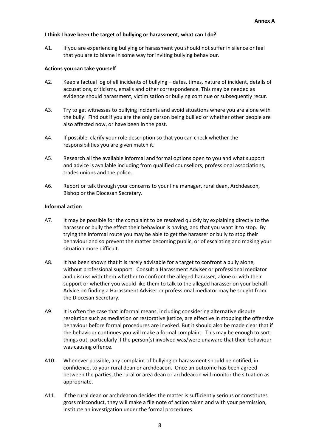#### **I think I have been the target of bullying or harassment, what can I do?**

A1. If you are experiencing bullying or harassment you should not suffer in silence or feel that you are to blame in some way for inviting bullying behaviour.

#### **Actions you can take yourself**

- A2. Keep a factual log of all incidents of bullying dates, times, nature of incident, details of accusations, criticisms, emails and other correspondence. This may be needed as evidence should harassment, victimisation or bullying continue or subsequently recur.
- A3. Try to get witnesses to bullying incidents and avoid situations where you are alone with the bully. Find out if you are the only person being bullied or whether other people are also affected now, or have been in the past.
- A4. If possible, clarify your role description so that you can check whether the responsibilities you are given match it.
- A5. Research all the available informal and formal options open to you and what support and advice is available including from qualified counsellors, professional associations, trades unions and the police.
- A6. Report or talk through your concerns to your line manager, rural dean, Archdeacon, Bishop or the Diocesan Secretary.

#### **Informal action**

- A7. It may be possible for the complaint to be resolved quickly by explaining directly to the harasser or bully the effect their behaviour is having, and that you want it to stop. By trying the informal route you may be able to get the harasser or bully to stop their behaviour and so prevent the matter becoming public, or of escalating and making your situation more difficult.
- A8. It has been shown that it is rarely advisable for a target to confront a bully alone, without professional support. Consult a Harassment Adviser or professional mediator and discuss with them whether to confront the alleged harasser, alone or with their support or whether you would like them to talk to the alleged harasser on your behalf. Advice on finding a Harassment Adviser or professional mediator may be sought from the Diocesan Secretary.
- A9. It is often the case that informal means, including considering alternative dispute resolution such as mediation or restorative justice, are effective in stopping the offensive behaviour before formal procedures are invoked. But it should also be made clear that if the behaviour continues you will make a formal complaint. This may be enough to sort things out, particularly if the person(s) involved was/were unaware that their behaviour was causing offence.
- A10. Whenever possible, any complaint of bullying or harassment should be notified, in confidence, to your rural dean or archdeacon. Once an outcome has been agreed between the parties, the rural or area dean or archdeacon will monitor the situation as appropriate.
- A11. If the rural dean or archdeacon decides the matter is sufficiently serious or constitutes gross misconduct, they will make a file note of action taken and with your permission, institute an investigation under the formal procedures.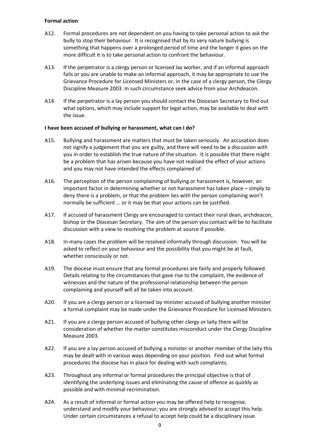#### **Formal action**

- A12. Formal procedures are not dependent on you having to take personal action to ask the bully to stop their behaviour. It is recognised that by its very nature bullying is something that happens over a prolonged period of time and the longer it goes on the more difficult it is to take personal action to confront the behaviour.
- A13. If the perpetrator is a clergy person or licensed lay worker, and if an informal approach fails or you are unable to make an informal approach, it may be appropriate to use the Grievance Procedure for Licensed Ministers or, in the case of a clergy person, the Clergy Discipline Measure 2003. In such circumstance seek advice from your Archdeacon.
- A14. If the perpetrator is a lay person you should contact the Diocesan Secretary to find out what options, which may include support for legal action, may be available to deal with the issue.

#### **I have been accused of bullying or harassment, what can I do?**

- A15. Bullying and harassment are matters that must be taken seriously. An accusation does not signify a judgement that you are guilty, and there will need to be a discussion with you in order to establish the true nature of the situation. It is possible that there might be a problem that has arisen because you have not realised the effect of your actions and you may not have intended the effects complained of.
- A16. The perception of the person complaining of bullying or harassment is, however, an important factor in determining whether or not harassment has taken place – simply to deny there is a problem, or that the problem lies with the person complaining won't normally be sufficient … or it may be that your actions can be justified.
- A17. If accused of harassment Clergy are encouraged to contact their rural dean, archdeacon, bishop or the Diocesan Secretary. The aim of the person you contact will be to facilitate discussion with a view to resolving the problem at source if possible.
- A18. In many cases the problem will be resolved informally through discussion. You will be asked to reflect on your behaviour and the possibility that you might be at fault, whether consciously or not.
- A19. The diocese must ensure that any formal procedures are fairly and properly followed. Details relating to the circumstances that gave rise to the complaint, the evidence of witnesses and the nature of the professional relationship between the person complaining and yourself will all be taken into account.
- A20. If you are a clergy person or a licensed lay minister accused of bullying another minister a formal complaint may be made under the Grievance Procedure for Licensed Ministers.
- A21. If you are a clergy person accused of bullying other clergy or laity there will be consideration of whether the matter constitutes misconduct under the Clergy Discipline Measure 2003.
- A22. If you are a lay person accused of bullying a minister or another member of the laity this may be dealt with in various ways depending on your position. Find out what formal procedures the diocese has in place for dealing with such complaints.
- A23. Throughout any informal or formal procedures the principal objective is that of identifying the underlying issues and eliminating the cause of offence as quickly as possible and with minimal recrimination.
- A24. As a result of informal or formal action you may be offered help to recognise, understand and modify your behaviour; you are strongly advised to accept this help. Under certain circumstances a refusal to accept help could be a disciplinary issue.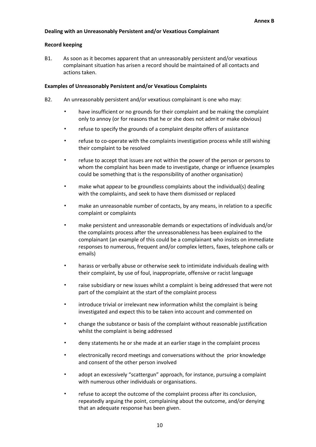#### **Dealing with an Unreasonably Persistent and/or Vexatious Complainant**

#### **Record keeping**

B1. As soon as it becomes apparent that an unreasonably persistent and/or vexatious complainant situation has arisen a record should be maintained of all contacts and actions taken.

#### **Examples of Unreasonably Persistent and/or Vexatious Complaints**

- B2. An unreasonably persistent and/or vexatious complainant is one who may:
	- have insufficient or no grounds for their complaint and be making the complaint only to annoy (or for reasons that he or she does not admit or make obvious)
	- refuse to specify the grounds of a complaint despite offers of assistance
	- refuse to co-operate with the complaints investigation process while still wishing their complaint to be resolved
	- refuse to accept that issues are not within the power of the person or persons to whom the complaint has been made to investigate, change or influence (examples could be something that is the responsibility of another organisation)
	- make what appear to be groundless complaints about the individual(s) dealing with the complaints, and seek to have them dismissed or replaced
	- make an unreasonable number of contacts, by any means, in relation to a specific complaint or complaints
	- make persistent and unreasonable demands or expectations of individuals and/or the complaints process after the unreasonableness has been explained to the complainant (an example of this could be a complainant who insists on immediate responses to numerous, frequent and/or complex letters, faxes, telephone calls or emails)
	- harass or verbally abuse or otherwise seek to intimidate individuals dealing with their complaint, by use of foul, inappropriate, offensive or racist language
	- raise subsidiary or new issues whilst a complaint is being addressed that were not part of the complaint at the start of the complaint process
	- introduce trivial or irrelevant new information whilst the complaint is being investigated and expect this to be taken into account and commented on
	- change the substance or basis of the complaint without reasonable justification whilst the complaint is being addressed
	- deny statements he or she made at an earlier stage in the complaint process
	- electronically record meetings and conversations without the prior knowledge and consent of the other person involved
	- adopt an excessively "scattergun" approach, for instance, pursuing a complaint with numerous other individuals or organisations.
	- refuse to accept the outcome of the complaint process after its conclusion, repeatedly arguing the point, complaining about the outcome, and/or denying that an adequate response has been given.